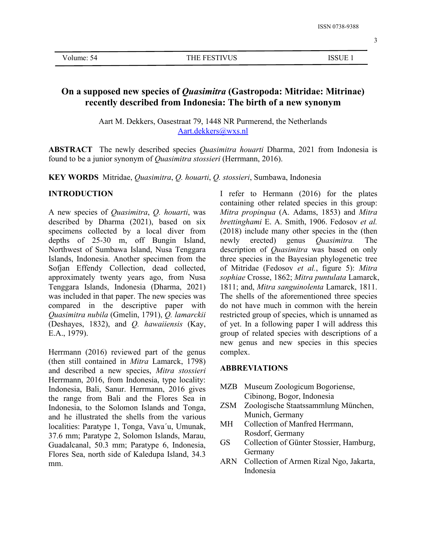# **On a supposed new species of** *Quasimitra* **(Gastropoda: Mitridae: Mitrinae) recently described from Indonesia: The birth of a new synonym**

Aart M. Dekkers, Oasestraat 79, 1448 NR Purmerend, the Netherlands [Aart.dekkers@wxs.nl](mailto:Aart.dekkers@wxs.nl)

**ABSTRACT** The newly described species *Quasimitra houarti* Dharma, 2021 from Indonesia is found to be a junior synonym of *Quasimitra stossieri*(Herrmann, 2016).

**KEY WORDS** Mitridae, *Quasimitra*, *Q. houarti*, *Q. stossieri*, Sumbawa, Indonesia

## **INTRODUCTION**

A new species of *Quasimitra*, *Q. houarti*, was described by Dharma (2021), based on six specimens collected by a local diver from depths of 25-30 m, off Bungin Island, Northwest of Sumbawa Island, Nusa Tenggara Islands, Indonesia. Another specimen from the Sofjan Effendy Collection, dead collected, approximately twenty years ago, from Nusa Tenggara Islands, Indonesia (Dharma, 2021) was included in that paper. The new species was compared in the descriptive paper with *Quasimitra nubila* (Gmelin, 1791), *Q. lamarckii* (Deshayes, 1832), and *Q. hawaiiensis* (Kay, E.A., 1979).

Herrmann  $(2016)$  reviewed part of the genus (then still contained in *Mitra* Lamarck, 1798) and described a new species, *Mitra stossieri* Herrmann, 2016, from Indonesia, type locality: Indonesia, Bali, Sanur. Herrmann, 2016 gives the range from Bali and the Flores Sea in<br>Indonesia to the Solomon Islands and Tonga ZSM Indonesia, to the Solomon Islands and Tonga, and he illustrated the shells from the various<br>localities: Parature 1, Tonga Vava'u Umunak MH localities: Paratype 1, Tonga, Vava´u, Umunak, 37.6 mm; Paratype 2, Solomon Islands, Marau, Guadalcanal, 50.3 mm; Paratype 6, Indonesia, Flores Sea, north side of Kaledupa Island,  $34.3$ <br>ARN mm.

I refer to Hermann (2016) for the plates containing other related species in this group: *Mitra propinqua* (A. Adams, 1853) and *Mitra brettinghami* E. A. Smith, 1906. Fedosov *et al.* (2018) include many other species in the (then newly erected) genus *Quasimitra.* The description of *Quasimitra* was based on only three species in the Bayesian phylogenetic tree of Mitridae (Fedosov *et al.*, figure 5): *Mitra sophiae* Crosse, 1862; *Mitra puntulata* Lamarck, 1811; and, *Mitra sanguinolenta* Lamarck, 1811. The shells of the aforementioned three species do not have much in common with the herein restricted group of species, which is unnamed as of yet. In a following paper I will address this group of related species with descriptions of a new genus and new species in this species complex.

# **ABBREVIATIONS**

- MZB Museum Zoologicum Bogoriense, Cibinong, Bogor, Indonesia
- Zoologische Staatssammlung München, Munich, Germany
- Collection of Manfred Herrmann, Rosdorf, Germany
- Collection of Günter Stossier, Hamburg, Germany
- Collection of Armen Rizal Ngo, Jakarta, Indonesia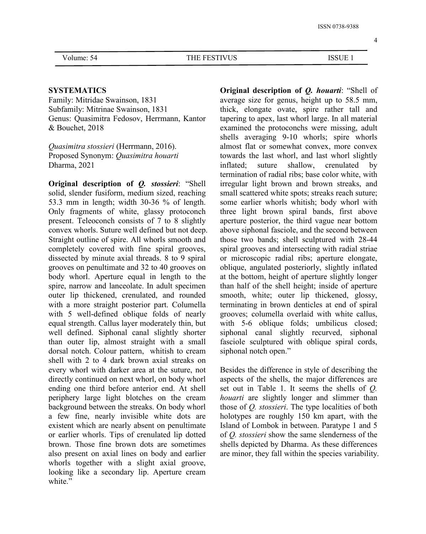## **SYSTEMATICS**

Family: Mitridae Swainson, 1831 Subfamily: Mitrinae Swainson, 1831 Genus: Quasimitra Fedosov, Herrmann, Kantor & Bouchet, 2018

*Quasimitra stossieri* (Herrmann, 2016). Proposed Synonym: *Quasimitra houarti* Dharma, 2021

**Original description of** *Q. stossieri***: "Shell** solid, slender fusiform, medium sized, reaching 53.3 mm in length; width 30-36 % of length. Only fragments of white, glassy protoconch present. Teleoconch consists of 7 to 8 slightly convex whorls. Suture well defined but not deep. Straight outline of spire. All whorls smooth and completely covered with fine spiral grooves, dissected by minute axial threads. 8 to 9 spiral grooves on penultimate and 32 to 40 grooves on body whorl. Aperture equal in length to the spire, narrow and lanceolate. In adult specimen outer lip thickened, crenulated, and rounded with a more straight posterior part. Columella with 5 well-defined oblique folds of nearly equal strength. Callus layer moderately thin, but well defined. Siphonal canal slightly shorter than outer lip, almost straight with a small dorsal notch. Colour pattern, whitish to cream shell with 2 to 4 dark brown axial streaks on every whorl with darker area at the suture, not directly continued on next whorl, on body whorl ending one third before anterior end. At shell periphery large light blotches on the cream background between the streaks.On body whorl a few fine, nearly invisible white dots are existent which are nearly absent on penultimate or earlier whorls. Tips of crenulated lip dotted brown. Those fine brown dots are sometimes also present on axial lines on body and earlier whorls together with a slight axial groove, looking like a secondary lip. Aperture cream white."

**Original description of** *Q. houarti*: "Shell of average size for genus, height up to 58.5 mm, thick, elongate ovate, spire rather tall and tapering to apex, last whorl large. In all material examined the protoconchs were missing, adult shells averaging 9-10 whorls; spire whorls almost flat or somewhat convex, more convex towards the last whorl, and last whorl slightly inflated; suture shallow, crenulated by termination of radial ribs; base color white, with irregular light brown and brown streaks, and small scattered white spots; streaks reach suture; some earlier whorls whitish; body whorl with three light brown spiral bands, first above aperture posterior, the third vague near bottom above siphonal fasciole, and the second between those two bands; shell sculptured with 28-44 spiral grooves and intersecting with radial striae or microscopic radial ribs; aperture elongate, oblique, angulated posteriorly, slightly inflated at the bottom, height of aperture slightly longer than half of the shell height; inside of aperture smooth, white; outer lip thickened, glossy, terminating in brown denticles at end of spiral grooves; columella overlaid with white callus, with 5-6 oblique folds; umbilicus closed; siphonal canal slightly recurved, siphonal fasciole sculptured with oblique spiral cords, siphonal notch open."

Besides the difference in style of describing the aspects of the shells, the major differences are set out in Table 1. It seems the shells of *Q. houarti* are slightly longer and slimmer than those of *Q. stossieri*. The type localities of both holotypes are roughly 150 km apart, with the Island of Lombok in between. Paratype 1 and 5 of *Q. stossieri* show the same slenderness of the shells depicted by Dharma. As these differences are minor, they fall within the species variability.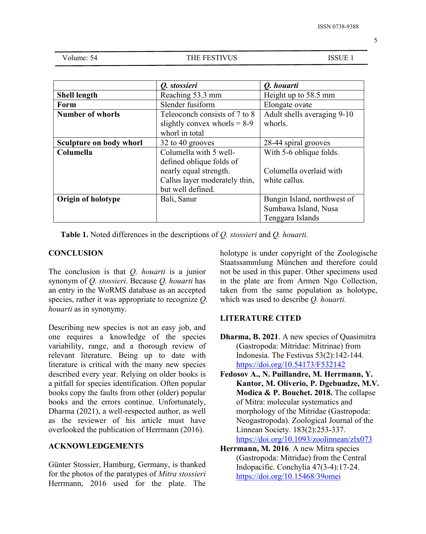| Volume: 54 |  |
|------------|--|
|------------|--|

THE FESTIVUS ISSUE 1

|                         | Q. stossieri                   | Q. houarti                  |
|-------------------------|--------------------------------|-----------------------------|
|                         |                                |                             |
| <b>Shell length</b>     | Reaching 53.3 mm               | Height up to 58.5 mm        |
| Form                    | Slender fusiform               | Elongate ovate              |
| <b>Number of whorls</b> | Teleoconch consists of 7 to 8  | Adult shells averaging 9-10 |
|                         | slightly convex whorls $= 8-9$ | whorls.                     |
|                         | whorl in total                 |                             |
| Sculpture on body whorl | 32 to 40 grooves               | 28-44 spiral grooves        |
| Columella               | Columella with 5 well-         | With 5-6 oblique folds.     |
|                         | defined oblique folds of       |                             |
|                         | nearly equal strength.         | Columella overlaid with     |
|                         | Callus layer moderately thin,  | white callus.               |
|                         | but well defined.              |                             |
| Origin of holotype      | Bali, Sanur                    | Bungin Island, northwest of |
|                         |                                | Sumbawa Island, Nusa        |
|                         |                                | Tenggara Islands            |

**Table 1.** Noted differences in the descriptions of*Q. stossieri* and *Q. houarti.*

## **CONCLUSION**

The conclusion is that *Q. houarti* is a junior synonym of *Q. stossieri*. Because *Q. houarti* has an entry in the WoRMS database as an accepted species, rather it was appropriate to recognize *Q. houarti* as in synonymy.

Describing new species is not an easy job, and one requires a knowledge of the species variability, range, and a thorough review of relevant literature. Being up to date with literature is critical with the many new species described every year. Relying on older books is a pitfall for species identification. Often popular books copy the faults from other (older) popular books and the errors continue. Unfortunately, Dharma (2021), a well-respected author, as well as the reviewer of his article must have overlooked the publication of Herrmann (2016).

## **ACKNOWLEDGEMENTS**

Günter Stossier, Hamburg, Germany, is thanked for the photos of the paratypes of *Mitra stossieri* Herrmann, 2016 used for the plate. The holotype is under copyright of the Zoologische Staatssammlung München and therefore could not be used in this paper. Other specimens used in the plate are from Armen Ngo Collection, taken from the same population as holotype, which was used to describe *Q. houarti.*

### **LITERATURE CITED**

- **Dharma, B. 2021**. A new species of Quasimitra (Gastropoda: Mitridae: Mitrinae) from Indonesia. The Festivus 53(2):142-144. <https://doi.org/10.54173/F532142>
- **Fedosov A., N. Puillandre, M. Herrmann, Y. Kantor, M. Oliverio, P. Dgebuadze, M.V. Modica & P. Bouchet. 2018.** The collapse of Mitra: molecular systematics and morphology of the Mitridae (Gastropoda: Neogastropoda). Zoological Journal of the Linnean Society. 183(2):253-337. <https://doi.org/10.1093/zoolinnean/zlx073>
- **Herrmann, M. 2016**. A new Mitra species (Gastropoda: Mitridae) from the Central Indopacific. Conchylia 47(3-4):17-24. <https://doi.org/10.15468/39omei>